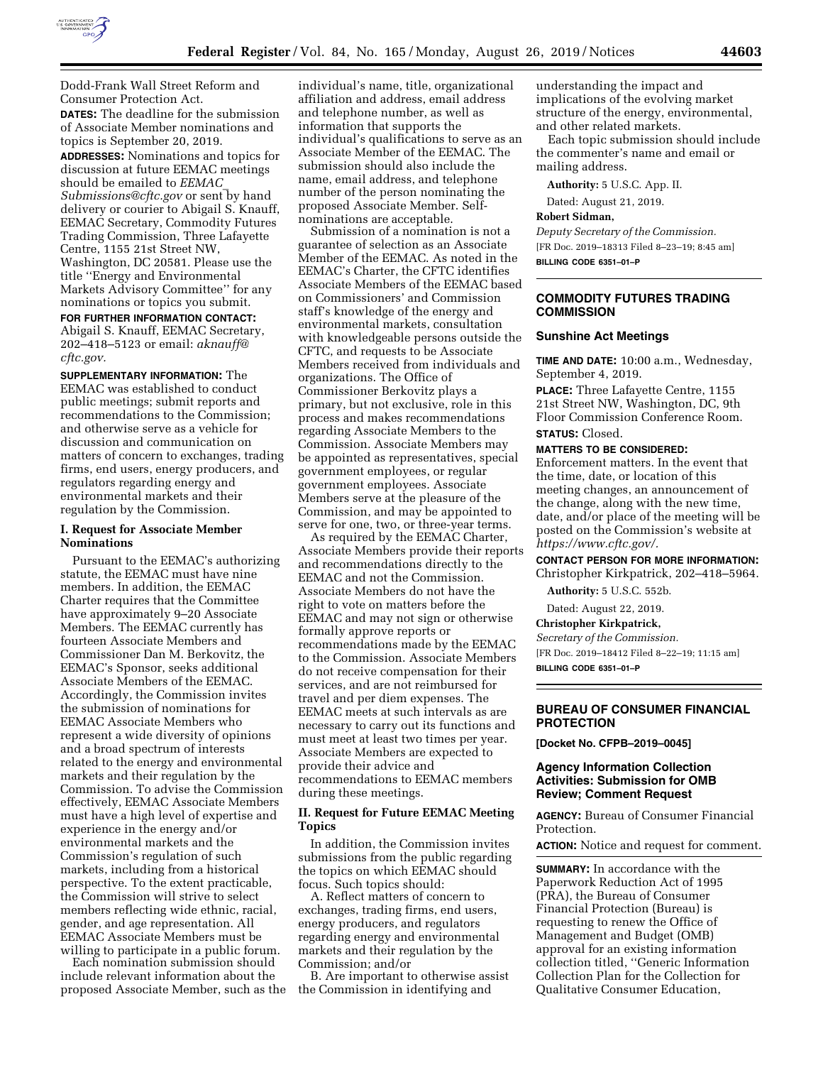

Dodd-Frank Wall Street Reform and Consumer Protection Act. **DATES:** The deadline for the submission of Associate Member nominations and topics is September 20, 2019. **ADDRESSES:** Nominations and topics for discussion at future EEMAC meetings should be emailed to *[EEMAC](mailto:EEMAC_Submissions@cftc.gov)*\_ *[Submissions@cftc.gov](mailto:EEMAC_Submissions@cftc.gov)* or sent by hand delivery or courier to Abigail S. Knauff, EEMAC Secretary, Commodity Futures Trading Commission, Three Lafayette Centre, 1155 21st Street NW, Washington, DC 20581. Please use the title ''Energy and Environmental Markets Advisory Committee'' for any

nominations or topics you submit. **FOR FURTHER INFORMATION CONTACT:**  Abigail S. Knauff, EEMAC Secretary, 202–418–5123 or email: *[aknauff@](mailto:aknauff@cftc.gov) [cftc.gov.](mailto:aknauff@cftc.gov)* 

**SUPPLEMENTARY INFORMATION:** The EEMAC was established to conduct public meetings; submit reports and recommendations to the Commission; and otherwise serve as a vehicle for discussion and communication on matters of concern to exchanges, trading firms, end users, energy producers, and regulators regarding energy and environmental markets and their regulation by the Commission.

## **I. Request for Associate Member Nominations**

Pursuant to the EEMAC's authorizing statute, the EEMAC must have nine members. In addition, the EEMAC Charter requires that the Committee have approximately 9–20 Associate Members. The EEMAC currently has fourteen Associate Members and Commissioner Dan M. Berkovitz, the EEMAC's Sponsor, seeks additional Associate Members of the EEMAC. Accordingly, the Commission invites the submission of nominations for EEMAC Associate Members who represent a wide diversity of opinions and a broad spectrum of interests related to the energy and environmental markets and their regulation by the Commission. To advise the Commission effectively, EEMAC Associate Members must have a high level of expertise and experience in the energy and/or environmental markets and the Commission's regulation of such markets, including from a historical perspective. To the extent practicable, the Commission will strive to select members reflecting wide ethnic, racial, gender, and age representation. All EEMAC Associate Members must be willing to participate in a public forum.

Each nomination submission should include relevant information about the proposed Associate Member, such as the

individual's name, title, organizational affiliation and address, email address and telephone number, as well as information that supports the individual's qualifications to serve as an Associate Member of the EEMAC. The submission should also include the name, email address, and telephone number of the person nominating the proposed Associate Member. Selfnominations are acceptable.

Submission of a nomination is not a guarantee of selection as an Associate Member of the EEMAC. As noted in the EEMAC's Charter, the CFTC identifies Associate Members of the EEMAC based on Commissioners' and Commission staff's knowledge of the energy and environmental markets, consultation with knowledgeable persons outside the CFTC, and requests to be Associate Members received from individuals and organizations. The Office of Commissioner Berkovitz plays a primary, but not exclusive, role in this process and makes recommendations regarding Associate Members to the Commission. Associate Members may be appointed as representatives, special government employees, or regular government employees. Associate Members serve at the pleasure of the Commission, and may be appointed to serve for one, two, or three-year terms.

As required by the EEMAC Charter, Associate Members provide their reports and recommendations directly to the EEMAC and not the Commission. Associate Members do not have the right to vote on matters before the EEMAC and may not sign or otherwise formally approve reports or recommendations made by the EEMAC to the Commission. Associate Members do not receive compensation for their services, and are not reimbursed for travel and per diem expenses. The EEMAC meets at such intervals as are necessary to carry out its functions and must meet at least two times per year. Associate Members are expected to provide their advice and recommendations to EEMAC members during these meetings.

## **II. Request for Future EEMAC Meeting Topics**

In addition, the Commission invites submissions from the public regarding the topics on which EEMAC should focus. Such topics should:

A. Reflect matters of concern to exchanges, trading firms, end users, energy producers, and regulators regarding energy and environmental markets and their regulation by the Commission; and/or

B. Are important to otherwise assist the Commission in identifying and

understanding the impact and implications of the evolving market structure of the energy, environmental, and other related markets.

Each topic submission should include the commenter's name and email or mailing address.

**Authority:** 5 U.S.C. App. II.

Dated: August 21, 2019.

# **Robert Sidman,**

*Deputy Secretary of the Commission.*  [FR Doc. 2019–18313 Filed 8–23–19; 8:45 am] **BILLING CODE 6351–01–P** 

## **COMMODITY FUTURES TRADING COMMISSION**

## **Sunshine Act Meetings**

**TIME AND DATE:** 10:00 a.m., Wednesday, September 4, 2019.

**PLACE:** Three Lafayette Centre, 1155 21st Street NW, Washington, DC, 9th Floor Commission Conference Room. **STATUS:** Closed.

# **MATTERS TO BE CONSIDERED:**

Enforcement matters. In the event that the time, date, or location of this meeting changes, an announcement of the change, along with the new time, date, and/or place of the meeting will be posted on the Commission's website at *[https://www.cftc.gov/.](https://www.cftc.gov/)* 

## **CONTACT PERSON FOR MORE INFORMATION:**  Christopher Kirkpatrick, 202–418–5964.

**Authority:** 5 U.S.C. 552b.

Dated: August 22, 2019.

### **Christopher Kirkpatrick,**

*Secretary of the Commission.* 

[FR Doc. 2019–18412 Filed 8–22–19; 11:15 am]

**BILLING CODE 6351–01–P** 

## **BUREAU OF CONSUMER FINANCIAL PROTECTION**

**[Docket No. CFPB–2019–0045]** 

## **Agency Information Collection Activities: Submission for OMB Review; Comment Request**

**AGENCY:** Bureau of Consumer Financial Protection.

**ACTION:** Notice and request for comment.

**SUMMARY:** In accordance with the Paperwork Reduction Act of 1995 (PRA), the Bureau of Consumer Financial Protection (Bureau) is requesting to renew the Office of Management and Budget (OMB) approval for an existing information collection titled, ''Generic Information Collection Plan for the Collection for Qualitative Consumer Education,